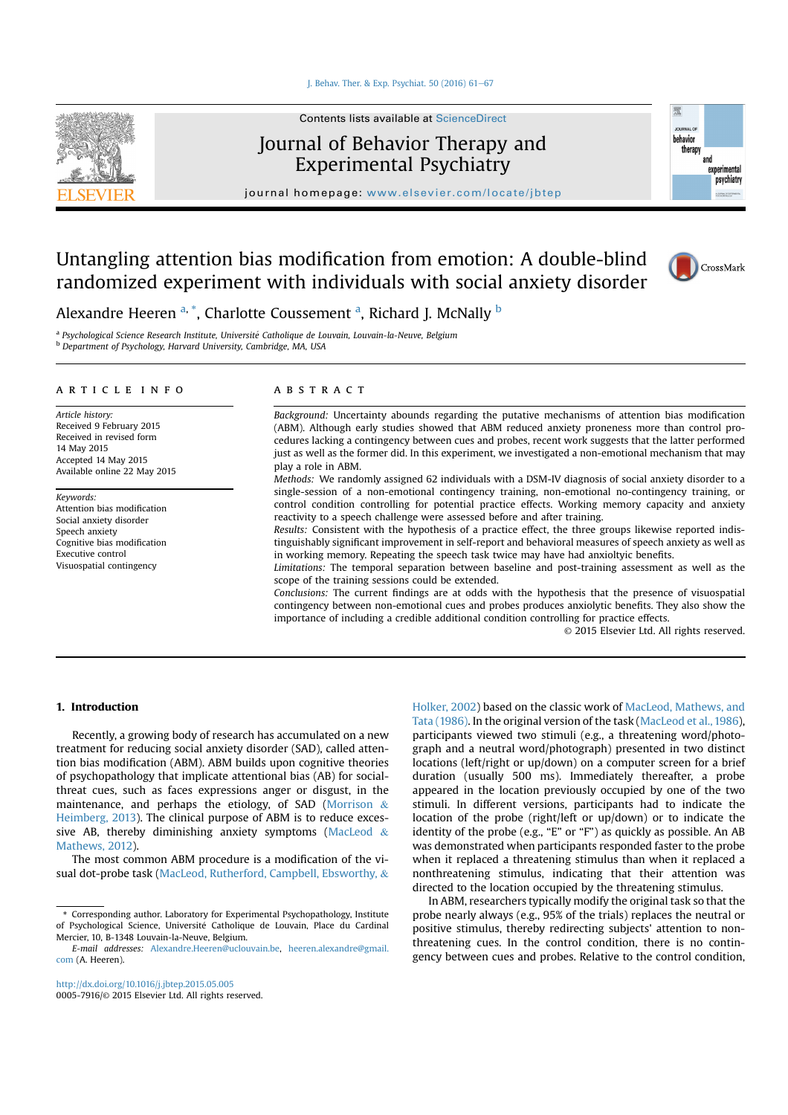J. Behav. Ther. & Exp. Psychiat.  $50$  (2016)  $61-67$  $61-67$ 



Contents lists available at [ScienceDirect](www.sciencedirect.com/science/journal/00057916)

# Journal of Behavior Therapy and Experimental Psychiatry

journal homepage: [www.elsevier.com/locate/jbtep](http://www.elsevier.com/locate/jbtep)





behavior therapy and experimental psychiatry

Alexandre Heeren <sup>a, \*</sup>, Charlotte Coussement <sup>a</sup>, Richard J. McNally <sup>b</sup>

a<br>Psychological Science Research Institute, Université Catholique de Louvain, Louvain-la-Neuve, Belgium b Department of Psychology, Harvard University, Cambridge, MA, USA

## article info

Article history: Received 9 February 2015 Received in revised form 14 May 2015 Accepted 14 May 2015 Available online 22 May 2015

Keywords: Attention bias modification Social anxiety disorder Speech anxiety Cognitive bias modification Executive control Visuospatial contingency

# ABSTRACT

Background: Uncertainty abounds regarding the putative mechanisms of attention bias modification (ABM). Although early studies showed that ABM reduced anxiety proneness more than control procedures lacking a contingency between cues and probes, recent work suggests that the latter performed just as well as the former did. In this experiment, we investigated a non-emotional mechanism that may play a role in ABM.

Methods: We randomly assigned 62 individuals with a DSM-IV diagnosis of social anxiety disorder to a single-session of a non-emotional contingency training, non-emotional no-contingency training, or control condition controlling for potential practice effects. Working memory capacity and anxiety reactivity to a speech challenge were assessed before and after training.

Results: Consistent with the hypothesis of a practice effect, the three groups likewise reported indistinguishably significant improvement in self-report and behavioral measures of speech anxiety as well as in working memory. Repeating the speech task twice may have had anxioltyic benefits.

Limitations: The temporal separation between baseline and post-training assessment as well as the scope of the training sessions could be extended.

Conclusions: The current findings are at odds with the hypothesis that the presence of visuospatial contingency between non-emotional cues and probes produces anxiolytic benefits. They also show the importance of including a credible additional condition controlling for practice effects.

© 2015 Elsevier Ltd. All rights reserved.

# 1. Introduction

Recently, a growing body of research has accumulated on a new treatment for reducing social anxiety disorder (SAD), called attention bias modification (ABM). ABM builds upon cognitive theories of psychopathology that implicate attentional bias (AB) for socialthreat cues, such as faces expressions anger or disgust, in the maintenance, and perhaps the etiology, of SAD (Morrison & Heimberg, 2013). The clinical purpose of ABM is to reduce excessive AB, thereby diminishing anxiety symptoms (MacLeod & Mathews, 2012).

The most common ABM procedure is a modification of the visual dot-probe task (MacLeod, Rutherford, Campbell, Ebsworthy, &

<http://dx.doi.org/10.1016/j.jbtep.2015.05.005> 0005-7916/© 2015 Elsevier Ltd. All rights reserved. Holker, 2002) based on the classic work of MacLeod, Mathews, and Tata (1986). In the original version of the task (MacLeod et al., 1986), participants viewed two stimuli (e.g., a threatening word/photograph and a neutral word/photograph) presented in two distinct locations (left/right or up/down) on a computer screen for a brief duration (usually 500 ms). Immediately thereafter, a probe appeared in the location previously occupied by one of the two stimuli. In different versions, participants had to indicate the location of the probe (right/left or up/down) or to indicate the identity of the probe (e.g., "E" or "F") as quickly as possible. An AB was demonstrated when participants responded faster to the probe when it replaced a threatening stimulus than when it replaced a nonthreatening stimulus, indicating that their attention was directed to the location occupied by the threatening stimulus.

In ABM, researchers typically modify the original task so that the probe nearly always (e.g., 95% of the trials) replaces the neutral or positive stimulus, thereby redirecting subjects' attention to nonthreatening cues. In the control condition, there is no contingency between cues and probes. Relative to the control condition,

Corresponding author. Laboratory for Experimental Psychopathology, Institute of Psychological Science, Université Catholique de Louvain, Place du Cardinal Mercier, 10, B-1348 Louvain-la-Neuve, Belgium.

E-mail addresses: [Alexandre.Heeren@uclouvain.be](mailto:Alexandre.Heeren@uclouvain.be), [heeren.alexandre@gmail.](mailto:heeren.alexandre@gmail.com) [com](mailto:heeren.alexandre@gmail.com) (A. Heeren).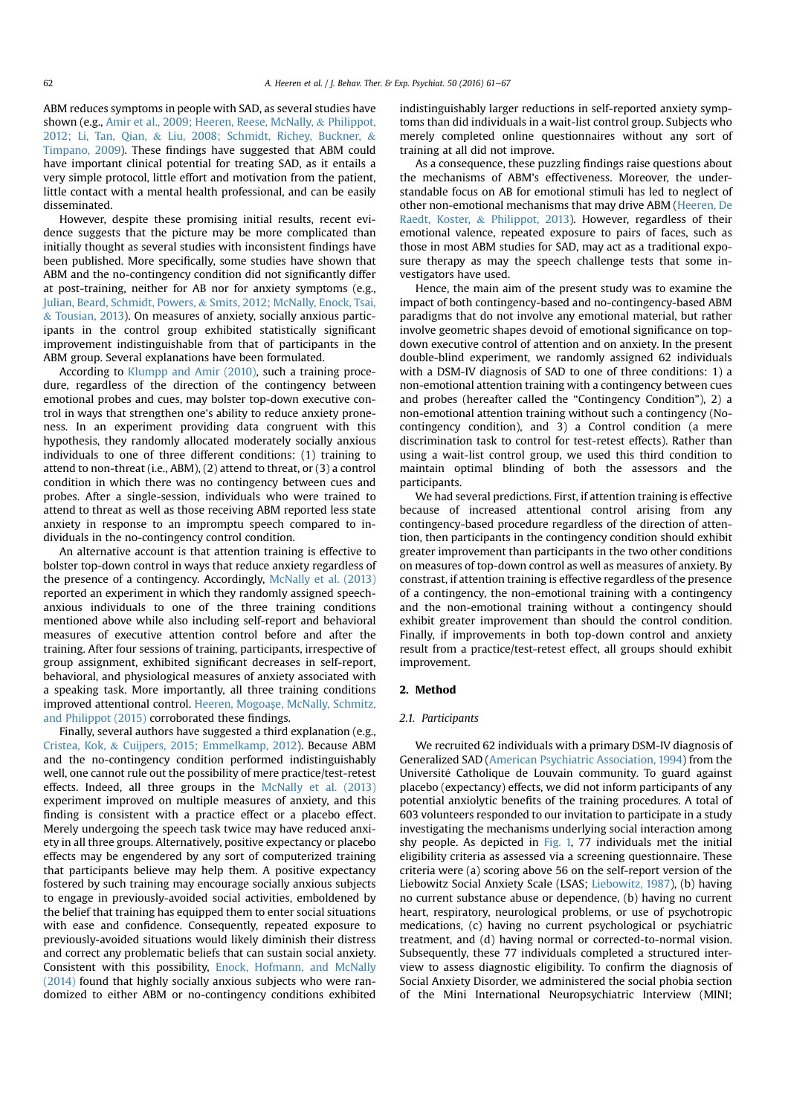ABM reduces symptoms in people with SAD, as several studies have shown (e.g., Amir et al., 2009; Heeren, Reese, McNally, & Philippot, 2012; Li, Tan, Qian, & Liu, 2008; Schmidt, Richey, Buckner, & Timpano, 2009). These findings have suggested that ABM could have important clinical potential for treating SAD, as it entails a very simple protocol, little effort and motivation from the patient, little contact with a mental health professional, and can be easily disseminated.

However, despite these promising initial results, recent evidence suggests that the picture may be more complicated than initially thought as several studies with inconsistent findings have been published. More specifically, some studies have shown that ABM and the no-contingency condition did not significantly differ at post-training, neither for AB nor for anxiety symptoms (e.g., Julian, Beard, Schmidt, Powers, & Smits, 2012; McNally, Enock, Tsai, & Tousian, 2013). On measures of anxiety, socially anxious participants in the control group exhibited statistically significant improvement indistinguishable from that of participants in the ABM group. Several explanations have been formulated.

According to Klumpp and Amir (2010), such a training procedure, regardless of the direction of the contingency between emotional probes and cues, may bolster top-down executive control in ways that strengthen one's ability to reduce anxiety proneness. In an experiment providing data congruent with this hypothesis, they randomly allocated moderately socially anxious individuals to one of three different conditions: (1) training to attend to non-threat (i.e., ABM), (2) attend to threat, or (3) a control condition in which there was no contingency between cues and probes. After a single-session, individuals who were trained to attend to threat as well as those receiving ABM reported less state anxiety in response to an impromptu speech compared to individuals in the no-contingency control condition.

An alternative account is that attention training is effective to bolster top-down control in ways that reduce anxiety regardless of the presence of a contingency. Accordingly, McNally et al. (2013) reported an experiment in which they randomly assigned speechanxious individuals to one of the three training conditions mentioned above while also including self-report and behavioral measures of executive attention control before and after the training. After four sessions of training, participants, irrespective of group assignment, exhibited significant decreases in self-report, behavioral, and physiological measures of anxiety associated with a speaking task. More importantly, all three training conditions improved attentional control. Heeren, Mogoașe, McNally, Schmitz, and Philippot (2015) corroborated these findings.

Finally, several authors have suggested a third explanation (e.g., Cristea, Kok, & Cuijpers, 2015; Emmelkamp, 2012). Because ABM and the no-contingency condition performed indistinguishably well, one cannot rule out the possibility of mere practice/test-retest effects. Indeed, all three groups in the McNally et al. (2013) experiment improved on multiple measures of anxiety, and this finding is consistent with a practice effect or a placebo effect. Merely undergoing the speech task twice may have reduced anxiety in all three groups. Alternatively, positive expectancy or placebo effects may be engendered by any sort of computerized training that participants believe may help them. A positive expectancy fostered by such training may encourage socially anxious subjects to engage in previously-avoided social activities, emboldened by the belief that training has equipped them to enter social situations with ease and confidence. Consequently, repeated exposure to previously-avoided situations would likely diminish their distress and correct any problematic beliefs that can sustain social anxiety. Consistent with this possibility, Enock, Hofmann, and McNally (2014) found that highly socially anxious subjects who were randomized to either ABM or no-contingency conditions exhibited indistinguishably larger reductions in self-reported anxiety symptoms than did individuals in a wait-list control group. Subjects who merely completed online questionnaires without any sort of training at all did not improve.

As a consequence, these puzzling findings raise questions about the mechanisms of ABM's effectiveness. Moreover, the understandable focus on AB for emotional stimuli has led to neglect of other non-emotional mechanisms that may drive ABM (Heeren, De Raedt, Koster, & Philippot, 2013). However, regardless of their emotional valence, repeated exposure to pairs of faces, such as those in most ABM studies for SAD, may act as a traditional exposure therapy as may the speech challenge tests that some investigators have used.

Hence, the main aim of the present study was to examine the impact of both contingency-based and no-contingency-based ABM paradigms that do not involve any emotional material, but rather involve geometric shapes devoid of emotional significance on topdown executive control of attention and on anxiety. In the present double-blind experiment, we randomly assigned 62 individuals with a DSM-IV diagnosis of SAD to one of three conditions: 1) a non-emotional attention training with a contingency between cues and probes (hereafter called the "Contingency Condition"), 2) a non-emotional attention training without such a contingency (Nocontingency condition), and 3) a Control condition (a mere discrimination task to control for test-retest effects). Rather than using a wait-list control group, we used this third condition to maintain optimal blinding of both the assessors and the participants.

We had several predictions. First, if attention training is effective because of increased attentional control arising from any contingency-based procedure regardless of the direction of attention, then participants in the contingency condition should exhibit greater improvement than participants in the two other conditions on measures of top-down control as well as measures of anxiety. By constrast, if attention training is effective regardless of the presence of a contingency, the non-emotional training with a contingency and the non-emotional training without a contingency should exhibit greater improvement than should the control condition. Finally, if improvements in both top-down control and anxiety result from a practice/test-retest effect, all groups should exhibit improvement.

## 2. Method

## 2.1. Participants

We recruited 62 individuals with a primary DSM-IV diagnosis of Generalized SAD (American Psychiatric Association, 1994) from the Université Catholique de Louvain community. To guard against placebo (expectancy) effects, we did not inform participants of any potential anxiolytic benefits of the training procedures. A total of 603 volunteers responded to our invitation to participate in a study investigating the mechanisms underlying social interaction among shy people. As depicted in Fig. 1, 77 individuals met the initial eligibility criteria as assessed via a screening questionnaire. These criteria were (a) scoring above 56 on the self-report version of the Liebowitz Social Anxiety Scale (LSAS; Liebowitz, 1987), (b) having no current substance abuse or dependence, (b) having no current heart, respiratory, neurological problems, or use of psychotropic medications, (c) having no current psychological or psychiatric treatment, and (d) having normal or corrected-to-normal vision. Subsequently, these 77 individuals completed a structured interview to assess diagnostic eligibility. To confirm the diagnosis of Social Anxiety Disorder, we administered the social phobia section of the Mini International Neuropsychiatric Interview (MINI;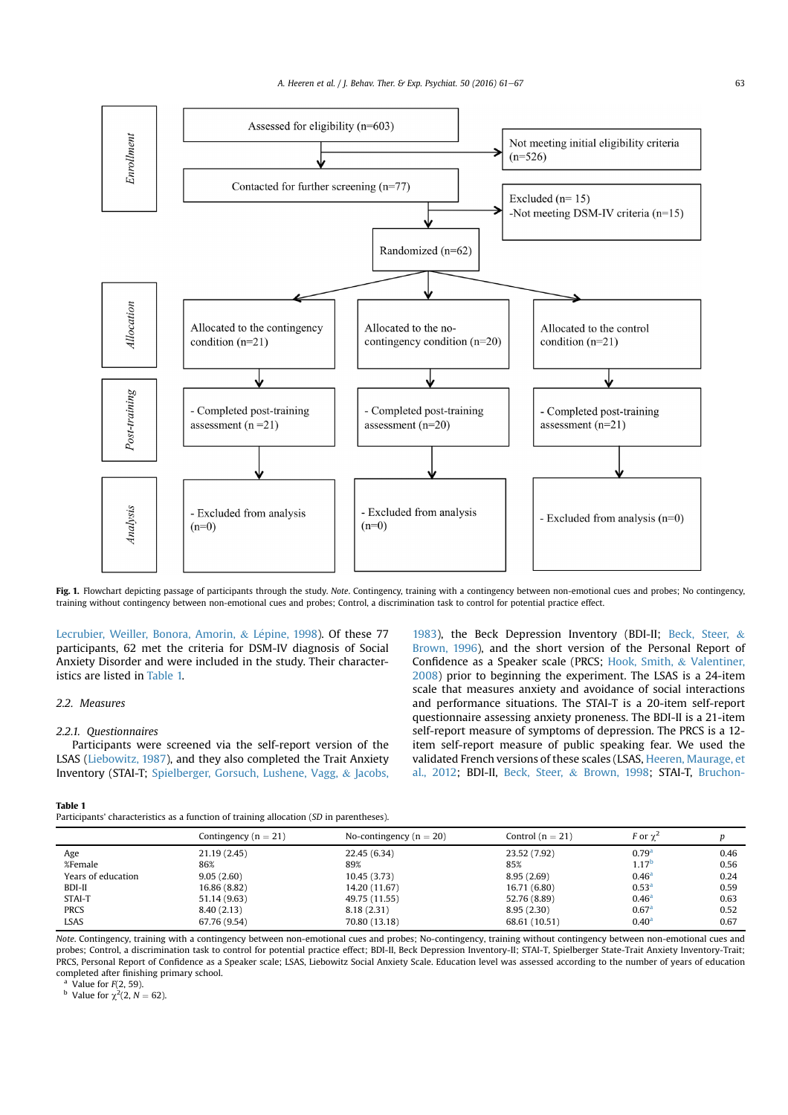

Fig. 1. Flowchart depicting passage of participants through the study. Note. Contingency, training with a contingency between non-emotional cues and probes; No contingency, training without contingency between non-emotional cues and probes; Control, a discrimination task to control for potential practice effect.

Lecrubier, Weiller, Bonora, Amorin, & Lépine, 1998). Of these 77 participants, 62 met the criteria for DSM-IV diagnosis of Social Anxiety Disorder and were included in the study. Their characteristics are listed in Table 1.

## 2.2. Measures

### 2.2.1. Questionnaires

Participants were screened via the self-report version of the LSAS (Liebowitz, 1987), and they also completed the Trait Anxiety Inventory (STAI-T; Spielberger, Gorsuch, Lushene, Vagg, & Jacobs,

1983), the Beck Depression Inventory (BDI-II; Beck, Steer, & Brown, 1996), and the short version of the Personal Report of Confidence as a Speaker scale (PRCS; Hook, Smith, & Valentiner, 2008) prior to beginning the experiment. The LSAS is a 24-item scale that measures anxiety and avoidance of social interactions and performance situations. The STAI-T is a 20-item self-report questionnaire assessing anxiety proneness. The BDI-II is a 21-item self-report measure of symptoms of depression. The PRCS is a 12 item self-report measure of public speaking fear. We used the validated French versions of these scales (LSAS, Heeren, Maurage, et al., 2012; BDI-II, Beck, Steer, & Brown, 1998; STAI-T, Bruchon-

| Table 1 |                                                                                         |  |  |
|---------|-----------------------------------------------------------------------------------------|--|--|
|         | Participants' characteristics as a function of training allocation (SD in parentheses). |  |  |

|                    | Contingency ( $n = 21$ ) | No-contingency ( $n = 20$ ) | Control $(n = 21)$ | F or $\gamma^2$   |      |
|--------------------|--------------------------|-----------------------------|--------------------|-------------------|------|
| Age                | 21.19(2.45)              | 22.45 (6.34)                | 23.52 (7.92)       | 0.79 <sup>a</sup> | 0.46 |
| %Female            | 86%                      | 89%                         | 85%                | 1.17 <sup>b</sup> | 0.56 |
| Years of education | 9.05(2.60)               | 10.45(3.73)                 | 8.95(2.69)         | 0.46 <sup>a</sup> | 0.24 |
| BDI-II             | 16.86 (8.82)             | 14.20 (11.67)               | 16.71 (6.80)       | 0.53 <sup>a</sup> | 0.59 |
| STAI-T             | 51.14 (9.63)             | 49.75 (11.55)               | 52.76 (8.89)       | 0.46 <sup>a</sup> | 0.63 |
| <b>PRCS</b>        | 8.40(2.13)               | 8.18(2.31)                  | 8.95(2.30)         | 0.67 <sup>a</sup> | 0.52 |
| <b>LSAS</b>        | 67.76 (9.54)             | 70.80 (13.18)               | 68.61 (10.51)      | 0.40 <sup>a</sup> | 0.67 |
|                    |                          |                             |                    |                   |      |

Note. Contingency, training with a contingency between non-emotional cues and probes; No-contingency, training without contingency between non-emotional cues and probes; Control, a discrimination task to control for potential practice effect; BDI-II, Beck Depression Inventory-II; STAI-T, Spielberger State-Trait Anxiety Inventory-Trait; PRCS, Personal Report of Confidence as a Speaker scale; LSAS, Liebowitz Social Anxiety Scale. Education level was assessed according to the number of years of education completed after finishing primary school.

Value for  $F(2, 59)$ .

<sup>b</sup> Value for  $\chi^2(2, N = 62)$ .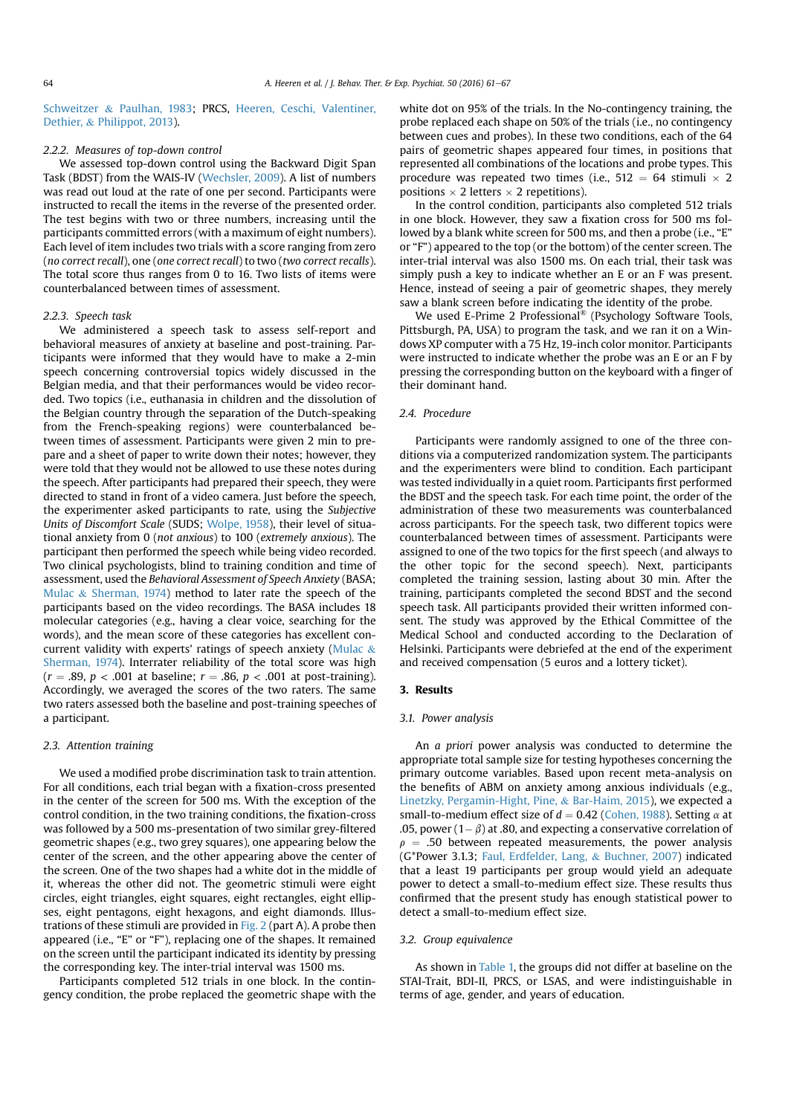Schweitzer & Paulhan, 1983; PRCS, Heeren, Ceschi, Valentiner, Dethier, & Philippot, 2013).

### 2.2.2. Measures of top-down control

We assessed top-down control using the Backward Digit Span Task (BDST) from the WAIS-IV (Wechsler, 2009). A list of numbers was read out loud at the rate of one per second. Participants were instructed to recall the items in the reverse of the presented order. The test begins with two or three numbers, increasing until the participants committed errors (with a maximum of eight numbers). Each level of item includes two trials with a score ranging from zero (no correct recall), one (one correct recall) to two (two correct recalls). The total score thus ranges from 0 to 16. Two lists of items were counterbalanced between times of assessment.

## 2.2.3. Speech task

We administered a speech task to assess self-report and behavioral measures of anxiety at baseline and post-training. Participants were informed that they would have to make a 2-min speech concerning controversial topics widely discussed in the Belgian media, and that their performances would be video recorded. Two topics (i.e., euthanasia in children and the dissolution of the Belgian country through the separation of the Dutch-speaking from the French-speaking regions) were counterbalanced between times of assessment. Participants were given 2 min to prepare and a sheet of paper to write down their notes; however, they were told that they would not be allowed to use these notes during the speech. After participants had prepared their speech, they were directed to stand in front of a video camera. Just before the speech, the experimenter asked participants to rate, using the Subjective Units of Discomfort Scale (SUDS; Wolpe, 1958), their level of situational anxiety from 0 (not anxious) to 100 (extremely anxious). The participant then performed the speech while being video recorded. Two clinical psychologists, blind to training condition and time of assessment, used the Behavioral Assessment of Speech Anxiety (BASA; Mulac & Sherman, 1974) method to later rate the speech of the participants based on the video recordings. The BASA includes 18 molecular categories (e.g., having a clear voice, searching for the words), and the mean score of these categories has excellent concurrent validity with experts' ratings of speech anxiety (Mulac  $\&$ Sherman, 1974). Interrater reliability of the total score was high  $(r = .89, p < .001$  at baseline;  $r = .86, p < .001$  at post-training). Accordingly, we averaged the scores of the two raters. The same two raters assessed both the baseline and post-training speeches of a participant.

## 2.3. Attention training

We used a modified probe discrimination task to train attention. For all conditions, each trial began with a fixation-cross presented in the center of the screen for 500 ms. With the exception of the control condition, in the two training conditions, the fixation-cross was followed by a 500 ms-presentation of two similar grey-filtered geometric shapes (e.g., two grey squares), one appearing below the center of the screen, and the other appearing above the center of the screen. One of the two shapes had a white dot in the middle of it, whereas the other did not. The geometric stimuli were eight circles, eight triangles, eight squares, eight rectangles, eight ellipses, eight pentagons, eight hexagons, and eight diamonds. Illustrations of these stimuli are provided in Fig. 2 (part A). A probe then appeared (i.e., "E" or "F"), replacing one of the shapes. It remained on the screen until the participant indicated its identity by pressing the corresponding key. The inter-trial interval was 1500 ms.

Participants completed 512 trials in one block. In the contingency condition, the probe replaced the geometric shape with the white dot on 95% of the trials. In the No-contingency training, the probe replaced each shape on 50% of the trials (i.e., no contingency between cues and probes). In these two conditions, each of the 64 pairs of geometric shapes appeared four times, in positions that represented all combinations of the locations and probe types. This procedure was repeated two times (i.e.,  $512 = 64$  stimuli  $\times$  2 positions  $\times$  2 letters  $\times$  2 repetitions).

In the control condition, participants also completed 512 trials in one block. However, they saw a fixation cross for 500 ms followed by a blank white screen for 500 ms, and then a probe (i.e., "E" or "F") appeared to the top (or the bottom) of the center screen. The inter-trial interval was also 1500 ms. On each trial, their task was simply push a key to indicate whether an E or an F was present. Hence, instead of seeing a pair of geometric shapes, they merely saw a blank screen before indicating the identity of the probe.

We used E-Prime 2 Professional<sup>®</sup> (Psychology Software Tools, Pittsburgh, PA, USA) to program the task, and we ran it on a Windows XP computer with a 75 Hz, 19-inch color monitor. Participants were instructed to indicate whether the probe was an E or an F by pressing the corresponding button on the keyboard with a finger of their dominant hand.

## 2.4. Procedure

Participants were randomly assigned to one of the three conditions via a computerized randomization system. The participants and the experimenters were blind to condition. Each participant was tested individually in a quiet room. Participants first performed the BDST and the speech task. For each time point, the order of the administration of these two measurements was counterbalanced across participants. For the speech task, two different topics were counterbalanced between times of assessment. Participants were assigned to one of the two topics for the first speech (and always to the other topic for the second speech). Next, participants completed the training session, lasting about 30 min. After the training, participants completed the second BDST and the second speech task. All participants provided their written informed consent. The study was approved by the Ethical Committee of the Medical School and conducted according to the Declaration of Helsinki. Participants were debriefed at the end of the experiment and received compensation (5 euros and a lottery ticket).

#### 3. Results

## 3.1. Power analysis

An a priori power analysis was conducted to determine the appropriate total sample size for testing hypotheses concerning the primary outcome variables. Based upon recent meta-analysis on the benefits of ABM on anxiety among anxious individuals (e.g., Linetzky, Pergamin-Hight, Pine, & Bar-Haim, 2015), we expected a small-to-medium effect size of  $d = 0.42$  (Cohen, 1988). Setting  $\alpha$  at .05, power  $(1 - \beta)$  at .80, and expecting a conservative correlation of  $\rho$  = .50 between repeated measurements, the power analysis (G\*Power 3.1.3; Faul, Erdfelder, Lang, & Buchner, 2007) indicated that a least 19 participants per group would yield an adequate power to detect a small-to-medium effect size. These results thus confirmed that the present study has enough statistical power to detect a small-to-medium effect size.

## 3.2. Group equivalence

As shown in Table 1, the groups did not differ at baseline on the STAI-Trait, BDI-II, PRCS, or LSAS, and were indistinguishable in terms of age, gender, and years of education.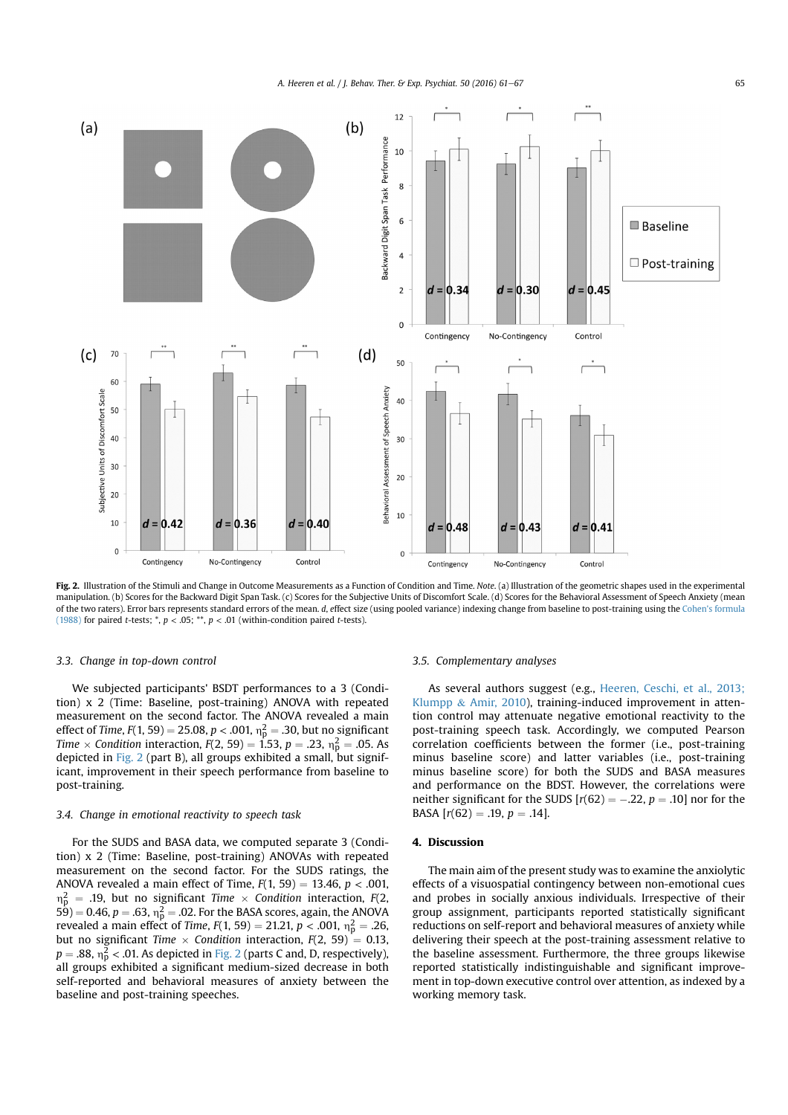

Fig. 2. Illustration of the Stimuli and Change in Outcome Measurements as a Function of Condition and Time. Note. (a) Illustration of the geometric shapes used in the experimental manipulation. (b) Scores for the Backward Digit Span Task. (c) Scores for the Subjective Units of Discomfort Scale. (d) Scores for the Behavioral Assessment of Speech Anxiety (mean of the two raters). Error bars represents standard errors of the mean. d, effect size (using pooled variance) indexing change from baseline to post-training using the Cohen's formula (1988) for paired *t*-tests;  $*$ ,  $p < .05$ ;  $**$ ,  $p < .01$  (within-condition paired *t*-tests).

## 3.3. Change in top-down control

We subjected participants' BSDT performances to a 3 (Condition) x 2 (Time: Baseline, post-training) ANOVA with repeated measurement on the second factor. The ANOVA revealed a main effect of *Time, F*(1, 59) = 25.08, *p* < .001,  $n_p^2$  = .30, but no significant *Time*  $\times$  *Condition* interaction, *F*(2, 59) = 1.53, *p* = .23,  $\eta_{\text{p}}^2$  = .05. As depicted in Fig. 2 (part B), all groups exhibited a small, but significant, improvement in their speech performance from baseline to post-training.

### 3.4. Change in emotional reactivity to speech task

For the SUDS and BASA data, we computed separate 3 (Condition) x 2 (Time: Baseline, post-training) ANOVAs with repeated measurement on the second factor. For the SUDS ratings, the ANOVA revealed a main effect of Time,  $F(1, 59) = 13.46$ ,  $p < .001$ ,  $m_{\rm p}^2$  = .19, but no significant *Time*  $\times$  *Condition* interaction, *F*(2, 59) = 0.46, p = .63,  $n_p^2$  = .02. For the BASA scores, again, the ANOVA revealed a main effect of *Time*,  $F(1, 59) = 21.21, p < .001, \eta_{\rm p}^2 = .26,$ but no significant Time  $\times$  Condition interaction, F(2, 59) = 0.13,  $p = .88$ ,  $\eta_{\rm p}^2 < .01$ . As depicted in Fig. 2 (parts C and, D, respectively), all groups exhibited a significant medium-sized decrease in both self-reported and behavioral measures of anxiety between the baseline and post-training speeches.

## 3.5. Complementary analyses

As several authors suggest (e.g., Heeren, Ceschi, et al., 2013; Klumpp & Amir, 2010), training-induced improvement in attention control may attenuate negative emotional reactivity to the post-training speech task. Accordingly, we computed Pearson correlation coefficients between the former (i.e., post-training minus baseline score) and latter variables (i.e., post-training minus baseline score) for both the SUDS and BASA measures and performance on the BDST. However, the correlations were neither significant for the SUDS  $[r(62) = -.22, p = .10]$  nor for the BASA  $[r(62) = .19, p = .14]$ .

## 4. Discussion

The main aim of the present study was to examine the anxiolytic effects of a visuospatial contingency between non-emotional cues and probes in socially anxious individuals. Irrespective of their group assignment, participants reported statistically significant reductions on self-report and behavioral measures of anxiety while delivering their speech at the post-training assessment relative to the baseline assessment. Furthermore, the three groups likewise reported statistically indistinguishable and significant improvement in top-down executive control over attention, as indexed by a working memory task.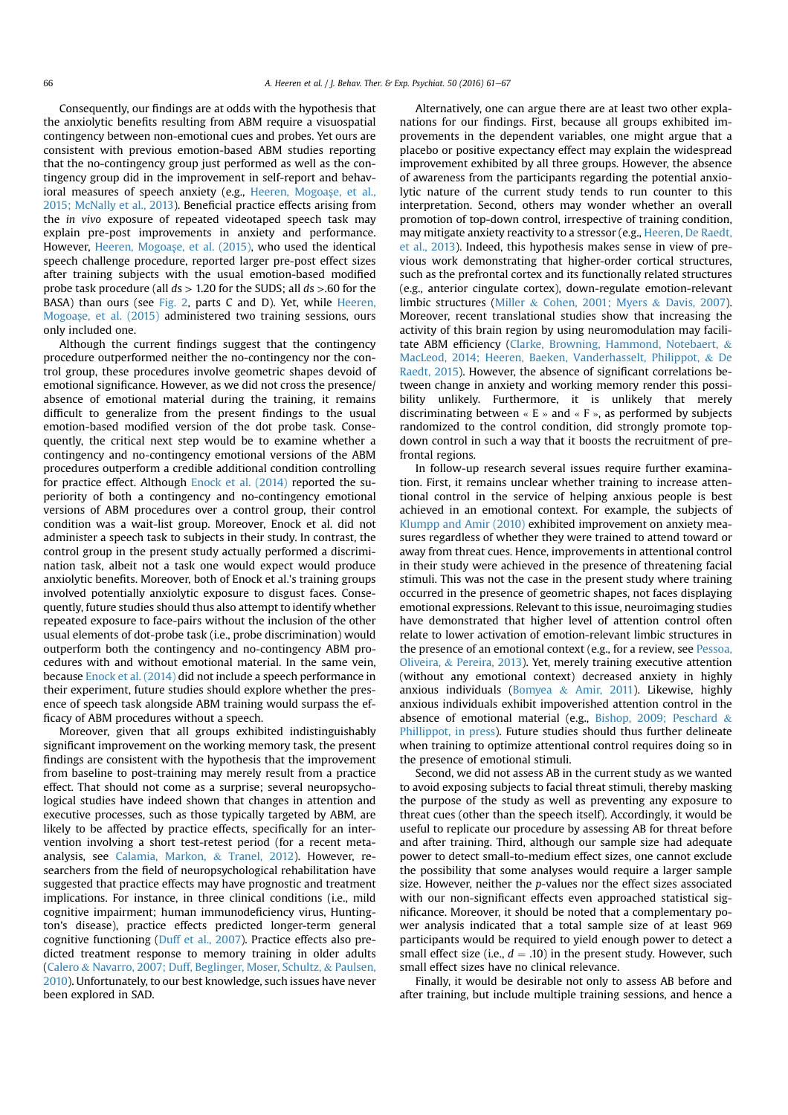Consequently, our findings are at odds with the hypothesis that the anxiolytic benefits resulting from ABM require a visuospatial contingency between non-emotional cues and probes. Yet ours are consistent with previous emotion-based ABM studies reporting that the no-contingency group just performed as well as the contingency group did in the improvement in self-report and behavioral measures of speech anxiety (e.g., Heeren, Mogoase, et al., 2015; McNally et al., 2013). Beneficial practice effects arising from the in vivo exposure of repeated videotaped speech task may explain pre-post improvements in anxiety and performance. However, Heeren, Mogoașe, et al. (2015), who used the identical speech challenge procedure, reported larger pre-post effect sizes after training subjects with the usual emotion-based modified probe task procedure (all ds > 1.20 for the SUDS; all ds >.60 for the BASA) than ours (see Fig. 2, parts C and D). Yet, while Heeren, Mogoase, et al. (2015) administered two training sessions, ours only included one.

Although the current findings suggest that the contingency procedure outperformed neither the no-contingency nor the control group, these procedures involve geometric shapes devoid of emotional significance. However, as we did not cross the presence/ absence of emotional material during the training, it remains difficult to generalize from the present findings to the usual emotion-based modified version of the dot probe task. Consequently, the critical next step would be to examine whether a contingency and no-contingency emotional versions of the ABM procedures outperform a credible additional condition controlling for practice effect. Although Enock et al. (2014) reported the superiority of both a contingency and no-contingency emotional versions of ABM procedures over a control group, their control condition was a wait-list group. Moreover, Enock et al. did not administer a speech task to subjects in their study. In contrast, the control group in the present study actually performed a discrimination task, albeit not a task one would expect would produce anxiolytic benefits. Moreover, both of Enock et al.'s training groups involved potentially anxiolytic exposure to disgust faces. Consequently, future studies should thus also attempt to identify whether repeated exposure to face-pairs without the inclusion of the other usual elements of dot-probe task (i.e., probe discrimination) would outperform both the contingency and no-contingency ABM procedures with and without emotional material. In the same vein, because Enock et al. (2014) did not include a speech performance in their experiment, future studies should explore whether the presence of speech task alongside ABM training would surpass the efficacy of ABM procedures without a speech.

Moreover, given that all groups exhibited indistinguishably significant improvement on the working memory task, the present findings are consistent with the hypothesis that the improvement from baseline to post-training may merely result from a practice effect. That should not come as a surprise; several neuropsychological studies have indeed shown that changes in attention and executive processes, such as those typically targeted by ABM, are likely to be affected by practice effects, specifically for an intervention involving a short test-retest period (for a recent metaanalysis, see Calamia, Markon, & Tranel, 2012). However, researchers from the field of neuropsychological rehabilitation have suggested that practice effects may have prognostic and treatment implications. For instance, in three clinical conditions (i.e., mild cognitive impairment; human immunodeficiency virus, Huntington's disease), practice effects predicted longer-term general cognitive functioning (Duff et al., 2007). Practice effects also predicted treatment response to memory training in older adults (Calero & Navarro, 2007; Duff, Beglinger, Moser, Schultz, & Paulsen, 2010). Unfortunately, to our best knowledge, such issues have never been explored in SAD.

Alternatively, one can argue there are at least two other explanations for our findings. First, because all groups exhibited improvements in the dependent variables, one might argue that a placebo or positive expectancy effect may explain the widespread improvement exhibited by all three groups. However, the absence of awareness from the participants regarding the potential anxiolytic nature of the current study tends to run counter to this interpretation. Second, others may wonder whether an overall promotion of top-down control, irrespective of training condition, may mitigate anxiety reactivity to a stressor (e.g., Heeren, De Raedt, et al., 2013). Indeed, this hypothesis makes sense in view of previous work demonstrating that higher-order cortical structures, such as the prefrontal cortex and its functionally related structures (e.g., anterior cingulate cortex), down-regulate emotion-relevant limbic structures (Miller & Cohen, 2001; Myers & Davis, 2007). Moreover, recent translational studies show that increasing the activity of this brain region by using neuromodulation may facilitate ABM efficiency (Clarke, Browning, Hammond, Notebaert, & MacLeod, 2014; Heeren, Baeken, Vanderhasselt, Philippot, & De Raedt, 2015). However, the absence of significant correlations between change in anxiety and working memory render this possibility unlikely. Furthermore, it is unlikely that merely discriminating between  $\ltimes$  E  $\gt$  and  $\ltimes$  F  $\gt$ , as performed by subjects randomized to the control condition, did strongly promote topdown control in such a way that it boosts the recruitment of prefrontal regions.

In follow-up research several issues require further examination. First, it remains unclear whether training to increase attentional control in the service of helping anxious people is best achieved in an emotional context. For example, the subjects of Klumpp and Amir (2010) exhibited improvement on anxiety measures regardless of whether they were trained to attend toward or away from threat cues. Hence, improvements in attentional control in their study were achieved in the presence of threatening facial stimuli. This was not the case in the present study where training occurred in the presence of geometric shapes, not faces displaying emotional expressions. Relevant to this issue, neuroimaging studies have demonstrated that higher level of attention control often relate to lower activation of emotion-relevant limbic structures in the presence of an emotional context (e.g., for a review, see Pessoa, Oliveira, & Pereira, 2013). Yet, merely training executive attention (without any emotional context) decreased anxiety in highly anxious individuals (Bomyea & Amir, 2011). Likewise, highly anxious individuals exhibit impoverished attention control in the absence of emotional material (e.g., Bishop, 2009; Peschard  $\&$ Phillippot, in press). Future studies should thus further delineate when training to optimize attentional control requires doing so in the presence of emotional stimuli.

Second, we did not assess AB in the current study as we wanted to avoid exposing subjects to facial threat stimuli, thereby masking the purpose of the study as well as preventing any exposure to threat cues (other than the speech itself). Accordingly, it would be useful to replicate our procedure by assessing AB for threat before and after training. Third, although our sample size had adequate power to detect small-to-medium effect sizes, one cannot exclude the possibility that some analyses would require a larger sample size. However, neither the p-values nor the effect sizes associated with our non-significant effects even approached statistical significance. Moreover, it should be noted that a complementary power analysis indicated that a total sample size of at least 969 participants would be required to yield enough power to detect a small effect size (i.e.,  $d = .10$ ) in the present study. However, such small effect sizes have no clinical relevance.

Finally, it would be desirable not only to assess AB before and after training, but include multiple training sessions, and hence a